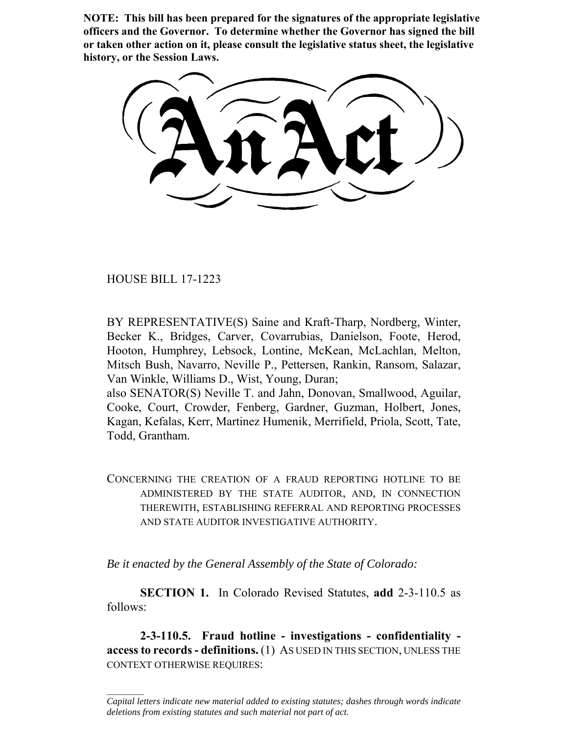**NOTE: This bill has been prepared for the signatures of the appropriate legislative officers and the Governor. To determine whether the Governor has signed the bill or taken other action on it, please consult the legislative status sheet, the legislative history, or the Session Laws.**

HOUSE BILL 17-1223

 $\frac{1}{2}$ 

BY REPRESENTATIVE(S) Saine and Kraft-Tharp, Nordberg, Winter, Becker K., Bridges, Carver, Covarrubias, Danielson, Foote, Herod, Hooton, Humphrey, Lebsock, Lontine, McKean, McLachlan, Melton, Mitsch Bush, Navarro, Neville P., Pettersen, Rankin, Ransom, Salazar, Van Winkle, Williams D., Wist, Young, Duran; also SENATOR(S) Neville T. and Jahn, Donovan, Smallwood, Aguilar,

Cooke, Court, Crowder, Fenberg, Gardner, Guzman, Holbert, Jones, Kagan, Kefalas, Kerr, Martinez Humenik, Merrifield, Priola, Scott, Tate, Todd, Grantham.

CONCERNING THE CREATION OF A FRAUD REPORTING HOTLINE TO BE ADMINISTERED BY THE STATE AUDITOR, AND, IN CONNECTION THEREWITH, ESTABLISHING REFERRAL AND REPORTING PROCESSES AND STATE AUDITOR INVESTIGATIVE AUTHORITY.

*Be it enacted by the General Assembly of the State of Colorado:*

**SECTION 1.** In Colorado Revised Statutes, **add** 2-3-110.5 as follows:

**2-3-110.5. Fraud hotline - investigations - confidentiality access to records - definitions.** (1) AS USED IN THIS SECTION, UNLESS THE CONTEXT OTHERWISE REQUIRES:

*Capital letters indicate new material added to existing statutes; dashes through words indicate deletions from existing statutes and such material not part of act.*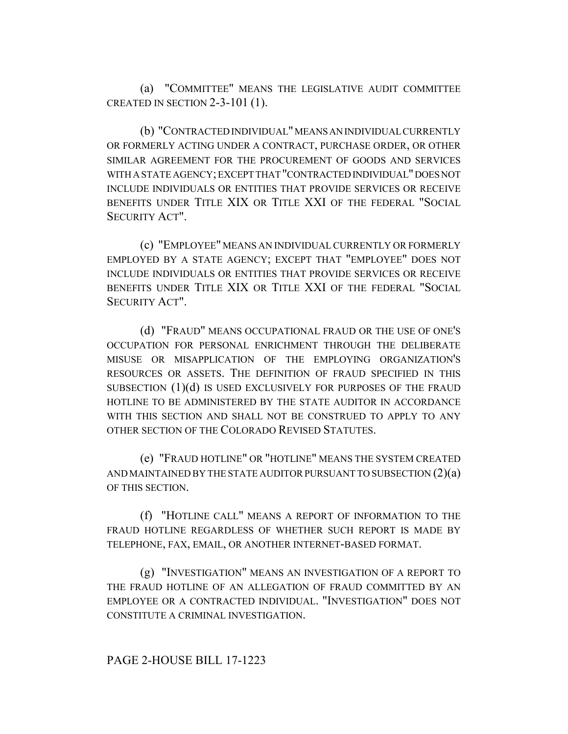(a) "COMMITTEE" MEANS THE LEGISLATIVE AUDIT COMMITTEE CREATED IN SECTION 2-3-101 (1).

(b) "CONTRACTED INDIVIDUAL" MEANS AN INDIVIDUAL CURRENTLY OR FORMERLY ACTING UNDER A CONTRACT, PURCHASE ORDER, OR OTHER SIMILAR AGREEMENT FOR THE PROCUREMENT OF GOODS AND SERVICES WITH A STATE AGENCY; EXCEPT THAT "CONTRACTED INDIVIDUAL" DOES NOT INCLUDE INDIVIDUALS OR ENTITIES THAT PROVIDE SERVICES OR RECEIVE BENEFITS UNDER TITLE XIX OR TITLE XXI OF THE FEDERAL "SOCIAL SECURITY ACT".

(c) "EMPLOYEE" MEANS AN INDIVIDUAL CURRENTLY OR FORMERLY EMPLOYED BY A STATE AGENCY; EXCEPT THAT "EMPLOYEE" DOES NOT INCLUDE INDIVIDUALS OR ENTITIES THAT PROVIDE SERVICES OR RECEIVE BENEFITS UNDER TITLE XIX OR TITLE XXI OF THE FEDERAL "SOCIAL SECURITY ACT".

(d) "FRAUD" MEANS OCCUPATIONAL FRAUD OR THE USE OF ONE'S OCCUPATION FOR PERSONAL ENRICHMENT THROUGH THE DELIBERATE MISUSE OR MISAPPLICATION OF THE EMPLOYING ORGANIZATION'S RESOURCES OR ASSETS. THE DEFINITION OF FRAUD SPECIFIED IN THIS SUBSECTION (1)(d) IS USED EXCLUSIVELY FOR PURPOSES OF THE FRAUD HOTLINE TO BE ADMINISTERED BY THE STATE AUDITOR IN ACCORDANCE WITH THIS SECTION AND SHALL NOT BE CONSTRUED TO APPLY TO ANY OTHER SECTION OF THE COLORADO REVISED STATUTES.

(e) "FRAUD HOTLINE" OR "HOTLINE" MEANS THE SYSTEM CREATED AND MAINTAINED BY THE STATE AUDITOR PURSUANT TO SUBSECTION  $(2)(a)$ OF THIS SECTION.

(f) "HOTLINE CALL" MEANS A REPORT OF INFORMATION TO THE FRAUD HOTLINE REGARDLESS OF WHETHER SUCH REPORT IS MADE BY TELEPHONE, FAX, EMAIL, OR ANOTHER INTERNET-BASED FORMAT.

(g) "INVESTIGATION" MEANS AN INVESTIGATION OF A REPORT TO THE FRAUD HOTLINE OF AN ALLEGATION OF FRAUD COMMITTED BY AN EMPLOYEE OR A CONTRACTED INDIVIDUAL. "INVESTIGATION" DOES NOT CONSTITUTE A CRIMINAL INVESTIGATION.

## PAGE 2-HOUSE BILL 17-1223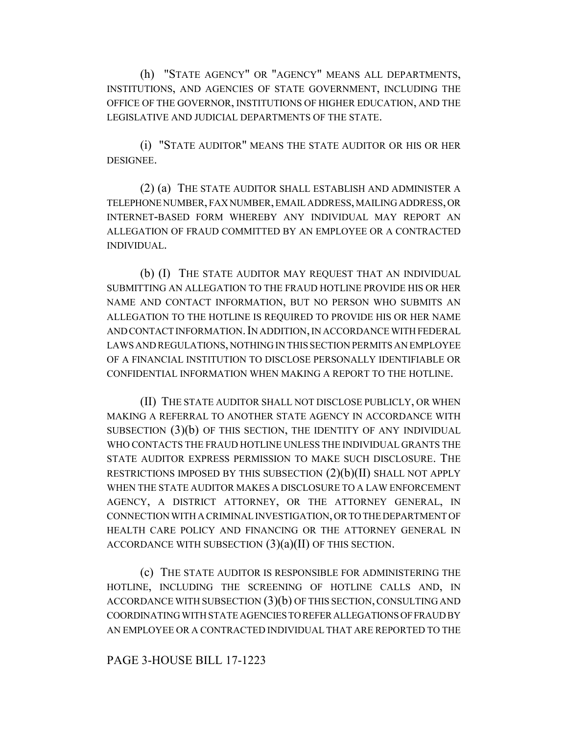(h) "STATE AGENCY" OR "AGENCY" MEANS ALL DEPARTMENTS, INSTITUTIONS, AND AGENCIES OF STATE GOVERNMENT, INCLUDING THE OFFICE OF THE GOVERNOR, INSTITUTIONS OF HIGHER EDUCATION, AND THE LEGISLATIVE AND JUDICIAL DEPARTMENTS OF THE STATE.

(i) "STATE AUDITOR" MEANS THE STATE AUDITOR OR HIS OR HER DESIGNEE.

(2) (a) THE STATE AUDITOR SHALL ESTABLISH AND ADMINISTER A TELEPHONE NUMBER, FAX NUMBER, EMAIL ADDRESS, MAILING ADDRESS, OR INTERNET-BASED FORM WHEREBY ANY INDIVIDUAL MAY REPORT AN ALLEGATION OF FRAUD COMMITTED BY AN EMPLOYEE OR A CONTRACTED INDIVIDUAL.

(b) (I) THE STATE AUDITOR MAY REQUEST THAT AN INDIVIDUAL SUBMITTING AN ALLEGATION TO THE FRAUD HOTLINE PROVIDE HIS OR HER NAME AND CONTACT INFORMATION, BUT NO PERSON WHO SUBMITS AN ALLEGATION TO THE HOTLINE IS REQUIRED TO PROVIDE HIS OR HER NAME AND CONTACT INFORMATION. IN ADDITION, IN ACCORDANCE WITH FEDERAL LAWS AND REGULATIONS, NOTHING IN THIS SECTION PERMITS AN EMPLOYEE OF A FINANCIAL INSTITUTION TO DISCLOSE PERSONALLY IDENTIFIABLE OR CONFIDENTIAL INFORMATION WHEN MAKING A REPORT TO THE HOTLINE.

(II) THE STATE AUDITOR SHALL NOT DISCLOSE PUBLICLY, OR WHEN MAKING A REFERRAL TO ANOTHER STATE AGENCY IN ACCORDANCE WITH SUBSECTION (3)(b) OF THIS SECTION, THE IDENTITY OF ANY INDIVIDUAL WHO CONTACTS THE FRAUD HOTLINE UNLESS THE INDIVIDUAL GRANTS THE STATE AUDITOR EXPRESS PERMISSION TO MAKE SUCH DISCLOSURE. THE RESTRICTIONS IMPOSED BY THIS SUBSECTION  $(2)(b)(II)$  SHALL NOT APPLY WHEN THE STATE AUDITOR MAKES A DISCLOSURE TO A LAW ENFORCEMENT AGENCY, A DISTRICT ATTORNEY, OR THE ATTORNEY GENERAL, IN CONNECTION WITH A CRIMINAL INVESTIGATION, OR TO THE DEPARTMENT OF HEALTH CARE POLICY AND FINANCING OR THE ATTORNEY GENERAL IN ACCORDANCE WITH SUBSECTION  $(3)(a)(II)$  OF THIS SECTION.

(c) THE STATE AUDITOR IS RESPONSIBLE FOR ADMINISTERING THE HOTLINE, INCLUDING THE SCREENING OF HOTLINE CALLS AND, IN ACCORDANCE WITH SUBSECTION (3)(b) OF THIS SECTION, CONSULTING AND COORDINATING WITH STATE AGENCIES TO REFER ALLEGATIONS OF FRAUD BY AN EMPLOYEE OR A CONTRACTED INDIVIDUAL THAT ARE REPORTED TO THE

## PAGE 3-HOUSE BILL 17-1223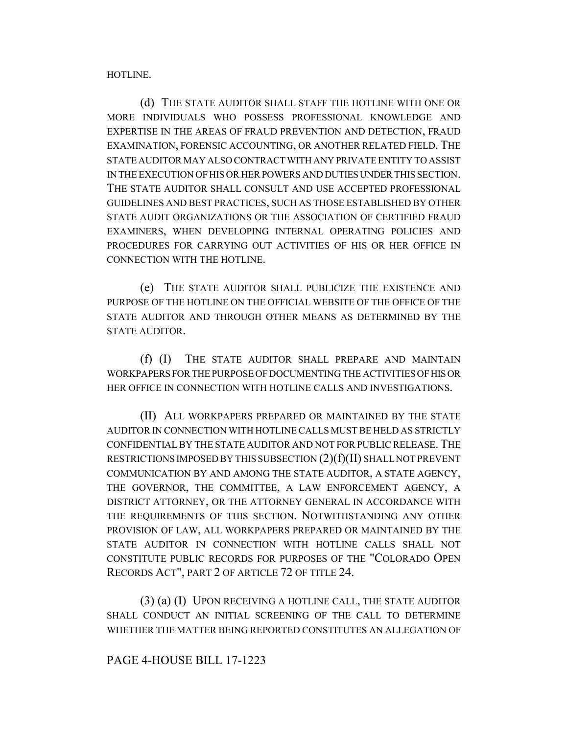HOTLINE.

(d) THE STATE AUDITOR SHALL STAFF THE HOTLINE WITH ONE OR MORE INDIVIDUALS WHO POSSESS PROFESSIONAL KNOWLEDGE AND EXPERTISE IN THE AREAS OF FRAUD PREVENTION AND DETECTION, FRAUD EXAMINATION, FORENSIC ACCOUNTING, OR ANOTHER RELATED FIELD. THE STATE AUDITOR MAY ALSO CONTRACT WITH ANY PRIVATE ENTITY TO ASSIST IN THE EXECUTION OF HIS OR HER POWERS AND DUTIES UNDER THIS SECTION. THE STATE AUDITOR SHALL CONSULT AND USE ACCEPTED PROFESSIONAL GUIDELINES AND BEST PRACTICES, SUCH AS THOSE ESTABLISHED BY OTHER STATE AUDIT ORGANIZATIONS OR THE ASSOCIATION OF CERTIFIED FRAUD EXAMINERS, WHEN DEVELOPING INTERNAL OPERATING POLICIES AND PROCEDURES FOR CARRYING OUT ACTIVITIES OF HIS OR HER OFFICE IN CONNECTION WITH THE HOTLINE.

(e) THE STATE AUDITOR SHALL PUBLICIZE THE EXISTENCE AND PURPOSE OF THE HOTLINE ON THE OFFICIAL WEBSITE OF THE OFFICE OF THE STATE AUDITOR AND THROUGH OTHER MEANS AS DETERMINED BY THE STATE AUDITOR.

(f) (I) THE STATE AUDITOR SHALL PREPARE AND MAINTAIN WORKPAPERS FOR THE PURPOSE OF DOCUMENTING THE ACTIVITIES OF HIS OR HER OFFICE IN CONNECTION WITH HOTLINE CALLS AND INVESTIGATIONS.

(II) ALL WORKPAPERS PREPARED OR MAINTAINED BY THE STATE AUDITOR IN CONNECTION WITH HOTLINE CALLS MUST BE HELD AS STRICTLY CONFIDENTIAL BY THE STATE AUDITOR AND NOT FOR PUBLIC RELEASE. THE RESTRICTIONS IMPOSED BY THIS SUBSECTION (2)(f)(II) SHALL NOT PREVENT COMMUNICATION BY AND AMONG THE STATE AUDITOR, A STATE AGENCY, THE GOVERNOR, THE COMMITTEE, A LAW ENFORCEMENT AGENCY, A DISTRICT ATTORNEY, OR THE ATTORNEY GENERAL IN ACCORDANCE WITH THE REQUIREMENTS OF THIS SECTION. NOTWITHSTANDING ANY OTHER PROVISION OF LAW, ALL WORKPAPERS PREPARED OR MAINTAINED BY THE STATE AUDITOR IN CONNECTION WITH HOTLINE CALLS SHALL NOT CONSTITUTE PUBLIC RECORDS FOR PURPOSES OF THE "COLORADO OPEN RECORDS ACT", PART 2 OF ARTICLE 72 OF TITLE 24.

(3) (a) (I) UPON RECEIVING A HOTLINE CALL, THE STATE AUDITOR SHALL CONDUCT AN INITIAL SCREENING OF THE CALL TO DETERMINE WHETHER THE MATTER BEING REPORTED CONSTITUTES AN ALLEGATION OF

PAGE 4-HOUSE BILL 17-1223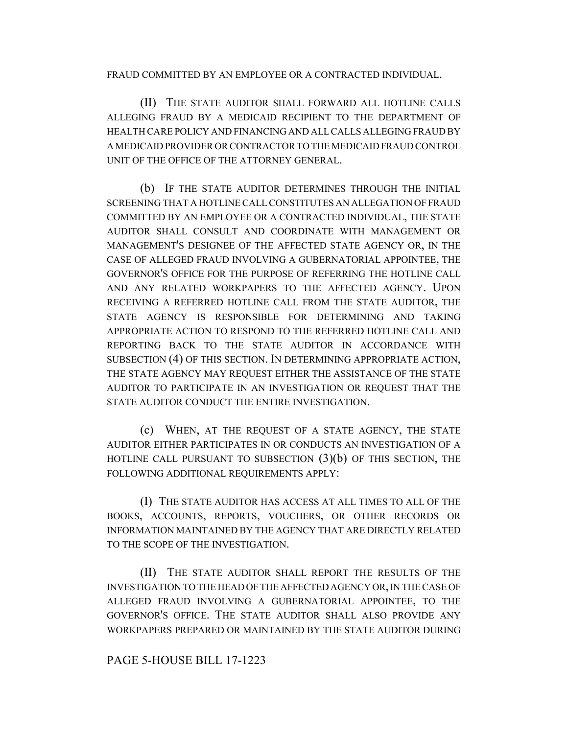FRAUD COMMITTED BY AN EMPLOYEE OR A CONTRACTED INDIVIDUAL.

(II) THE STATE AUDITOR SHALL FORWARD ALL HOTLINE CALLS ALLEGING FRAUD BY A MEDICAID RECIPIENT TO THE DEPARTMENT OF HEALTH CARE POLICY AND FINANCING AND ALL CALLS ALLEGING FRAUD BY A MEDICAID PROVIDER OR CONTRACTOR TO THE MEDICAID FRAUD CONTROL UNIT OF THE OFFICE OF THE ATTORNEY GENERAL.

(b) IF THE STATE AUDITOR DETERMINES THROUGH THE INITIAL SCREENING THAT A HOTLINE CALL CONSTITUTES AN ALLEGATION OF FRAUD COMMITTED BY AN EMPLOYEE OR A CONTRACTED INDIVIDUAL, THE STATE AUDITOR SHALL CONSULT AND COORDINATE WITH MANAGEMENT OR MANAGEMENT'S DESIGNEE OF THE AFFECTED STATE AGENCY OR, IN THE CASE OF ALLEGED FRAUD INVOLVING A GUBERNATORIAL APPOINTEE, THE GOVERNOR'S OFFICE FOR THE PURPOSE OF REFERRING THE HOTLINE CALL AND ANY RELATED WORKPAPERS TO THE AFFECTED AGENCY. UPON RECEIVING A REFERRED HOTLINE CALL FROM THE STATE AUDITOR, THE STATE AGENCY IS RESPONSIBLE FOR DETERMINING AND TAKING APPROPRIATE ACTION TO RESPOND TO THE REFERRED HOTLINE CALL AND REPORTING BACK TO THE STATE AUDITOR IN ACCORDANCE WITH SUBSECTION (4) OF THIS SECTION. IN DETERMINING APPROPRIATE ACTION, THE STATE AGENCY MAY REQUEST EITHER THE ASSISTANCE OF THE STATE AUDITOR TO PARTICIPATE IN AN INVESTIGATION OR REQUEST THAT THE STATE AUDITOR CONDUCT THE ENTIRE INVESTIGATION.

(c) WHEN, AT THE REQUEST OF A STATE AGENCY, THE STATE AUDITOR EITHER PARTICIPATES IN OR CONDUCTS AN INVESTIGATION OF A HOTLINE CALL PURSUANT TO SUBSECTION  $(3)(b)$  OF THIS SECTION, THE FOLLOWING ADDITIONAL REQUIREMENTS APPLY:

(I) THE STATE AUDITOR HAS ACCESS AT ALL TIMES TO ALL OF THE BOOKS, ACCOUNTS, REPORTS, VOUCHERS, OR OTHER RECORDS OR INFORMATION MAINTAINED BY THE AGENCY THAT ARE DIRECTLY RELATED TO THE SCOPE OF THE INVESTIGATION.

(II) THE STATE AUDITOR SHALL REPORT THE RESULTS OF THE INVESTIGATION TO THE HEAD OF THE AFFECTED AGENCY OR, IN THE CASE OF ALLEGED FRAUD INVOLVING A GUBERNATORIAL APPOINTEE, TO THE GOVERNOR'S OFFICE. THE STATE AUDITOR SHALL ALSO PROVIDE ANY WORKPAPERS PREPARED OR MAINTAINED BY THE STATE AUDITOR DURING

## PAGE 5-HOUSE BILL 17-1223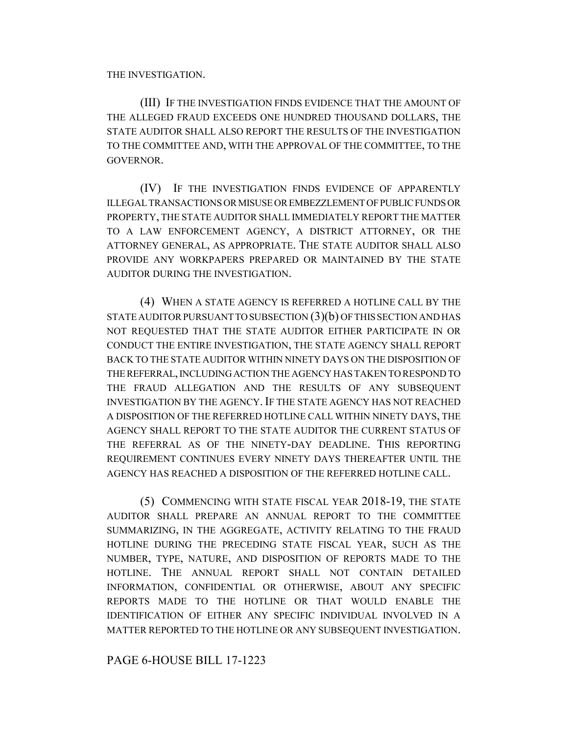THE INVESTIGATION.

(III) IF THE INVESTIGATION FINDS EVIDENCE THAT THE AMOUNT OF THE ALLEGED FRAUD EXCEEDS ONE HUNDRED THOUSAND DOLLARS, THE STATE AUDITOR SHALL ALSO REPORT THE RESULTS OF THE INVESTIGATION TO THE COMMITTEE AND, WITH THE APPROVAL OF THE COMMITTEE, TO THE GOVERNOR.

(IV) IF THE INVESTIGATION FINDS EVIDENCE OF APPARENTLY ILLEGAL TRANSACTIONS OR MISUSE OR EMBEZZLEMENT OF PUBLIC FUNDS OR PROPERTY, THE STATE AUDITOR SHALL IMMEDIATELY REPORT THE MATTER TO A LAW ENFORCEMENT AGENCY, A DISTRICT ATTORNEY, OR THE ATTORNEY GENERAL, AS APPROPRIATE. THE STATE AUDITOR SHALL ALSO PROVIDE ANY WORKPAPERS PREPARED OR MAINTAINED BY THE STATE AUDITOR DURING THE INVESTIGATION.

(4) WHEN A STATE AGENCY IS REFERRED A HOTLINE CALL BY THE STATE AUDITOR PURSUANT TO SUBSECTION (3)(b) OF THIS SECTION AND HAS NOT REQUESTED THAT THE STATE AUDITOR EITHER PARTICIPATE IN OR CONDUCT THE ENTIRE INVESTIGATION, THE STATE AGENCY SHALL REPORT BACK TO THE STATE AUDITOR WITHIN NINETY DAYS ON THE DISPOSITION OF THE REFERRAL, INCLUDING ACTION THE AGENCY HAS TAKEN TO RESPOND TO THE FRAUD ALLEGATION AND THE RESULTS OF ANY SUBSEQUENT INVESTIGATION BY THE AGENCY.IF THE STATE AGENCY HAS NOT REACHED A DISPOSITION OF THE REFERRED HOTLINE CALL WITHIN NINETY DAYS, THE AGENCY SHALL REPORT TO THE STATE AUDITOR THE CURRENT STATUS OF THE REFERRAL AS OF THE NINETY-DAY DEADLINE. THIS REPORTING REQUIREMENT CONTINUES EVERY NINETY DAYS THEREAFTER UNTIL THE AGENCY HAS REACHED A DISPOSITION OF THE REFERRED HOTLINE CALL.

(5) COMMENCING WITH STATE FISCAL YEAR 2018-19, THE STATE AUDITOR SHALL PREPARE AN ANNUAL REPORT TO THE COMMITTEE SUMMARIZING, IN THE AGGREGATE, ACTIVITY RELATING TO THE FRAUD HOTLINE DURING THE PRECEDING STATE FISCAL YEAR, SUCH AS THE NUMBER, TYPE, NATURE, AND DISPOSITION OF REPORTS MADE TO THE HOTLINE. THE ANNUAL REPORT SHALL NOT CONTAIN DETAILED INFORMATION, CONFIDENTIAL OR OTHERWISE, ABOUT ANY SPECIFIC REPORTS MADE TO THE HOTLINE OR THAT WOULD ENABLE THE IDENTIFICATION OF EITHER ANY SPECIFIC INDIVIDUAL INVOLVED IN A MATTER REPORTED TO THE HOTLINE OR ANY SUBSEQUENT INVESTIGATION.

PAGE 6-HOUSE BILL 17-1223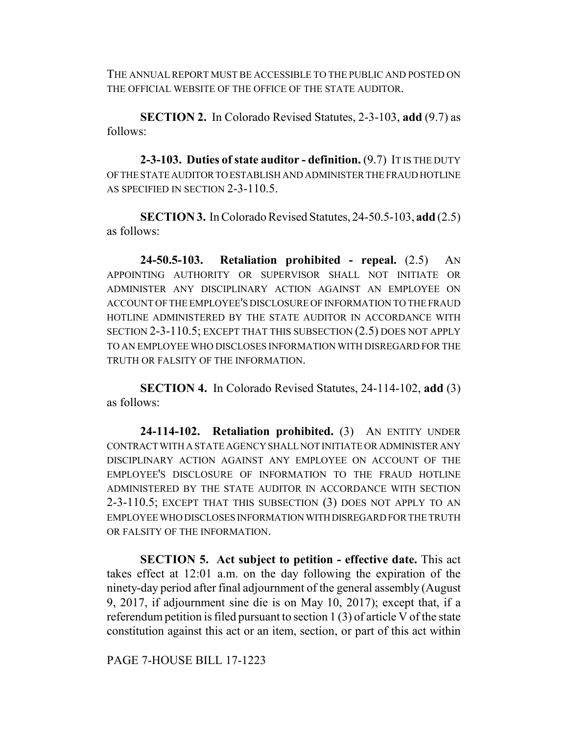THE ANNUAL REPORT MUST BE ACCESSIBLE TO THE PUBLIC AND POSTED ON THE OFFICIAL WEBSITE OF THE OFFICE OF THE STATE AUDITOR.

**SECTION 2.** In Colorado Revised Statutes, 2-3-103, **add** (9.7) as follows:

**2-3-103. Duties of state auditor - definition.** (9.7) IT IS THE DUTY OF THE STATE AUDITOR TO ESTABLISH AND ADMINISTER THE FRAUD HOTLINE AS SPECIFIED IN SECTION 2-3-110.5.

**SECTION 3.** In Colorado Revised Statutes, 24-50.5-103, **add** (2.5) as follows:

**24-50.5-103. Retaliation prohibited - repeal.** (2.5) AN APPOINTING AUTHORITY OR SUPERVISOR SHALL NOT INITIATE OR ADMINISTER ANY DISCIPLINARY ACTION AGAINST AN EMPLOYEE ON ACCOUNT OF THE EMPLOYEE'S DISCLOSURE OF INFORMATION TO THE FRAUD HOTLINE ADMINISTERED BY THE STATE AUDITOR IN ACCORDANCE WITH SECTION 2-3-110.5; EXCEPT THAT THIS SUBSECTION (2.5) DOES NOT APPLY TO AN EMPLOYEE WHO DISCLOSES INFORMATION WITH DISREGARD FOR THE TRUTH OR FALSITY OF THE INFORMATION.

**SECTION 4.** In Colorado Revised Statutes, 24-114-102, **add** (3) as follows:

**24-114-102. Retaliation prohibited.** (3) AN ENTITY UNDER CONTRACT WITH A STATE AGENCY SHALL NOT INITIATE OR ADMINISTER ANY DISCIPLINARY ACTION AGAINST ANY EMPLOYEE ON ACCOUNT OF THE EMPLOYEE'S DISCLOSURE OF INFORMATION TO THE FRAUD HOTLINE ADMINISTERED BY THE STATE AUDITOR IN ACCORDANCE WITH SECTION 2-3-110.5; EXCEPT THAT THIS SUBSECTION (3) DOES NOT APPLY TO AN EMPLOYEE WHO DISCLOSES INFORMATION WITH DISREGARD FOR THE TRUTH OR FALSITY OF THE INFORMATION.

**SECTION 5. Act subject to petition - effective date.** This act takes effect at 12:01 a.m. on the day following the expiration of the ninety-day period after final adjournment of the general assembly (August 9, 2017, if adjournment sine die is on May 10, 2017); except that, if a referendum petition is filed pursuant to section 1 (3) of article V of the state constitution against this act or an item, section, or part of this act within

PAGE 7-HOUSE BILL 17-1223